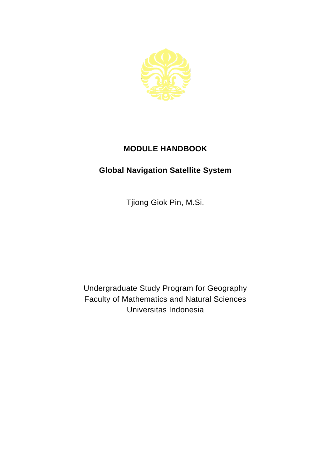

## **MODULE HANDBOOK**

## **Global Navigation Satellite System**

Tjiong Giok Pin, M.Si.

Undergraduate Study Program for Geography Faculty of Mathematics and Natural Sciences Universitas Indonesia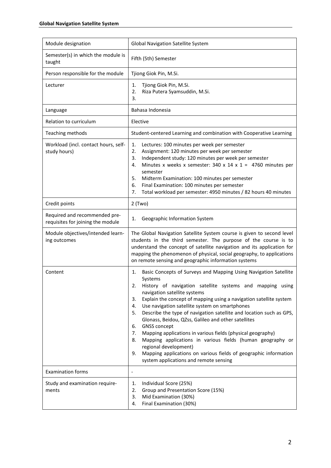| Module designation                                                 | <b>Global Navigation Satellite System</b>                                                                                                                                                                                                                                                                                                                                                                                                                                                                                                                                                                                                                                                                                                                                       |
|--------------------------------------------------------------------|---------------------------------------------------------------------------------------------------------------------------------------------------------------------------------------------------------------------------------------------------------------------------------------------------------------------------------------------------------------------------------------------------------------------------------------------------------------------------------------------------------------------------------------------------------------------------------------------------------------------------------------------------------------------------------------------------------------------------------------------------------------------------------|
| Semester(s) in which the module is<br>taught                       | Fifth (5th) Semester                                                                                                                                                                                                                                                                                                                                                                                                                                                                                                                                                                                                                                                                                                                                                            |
| Person responsible for the module                                  | Tjiong Giok Pin, M.Si.                                                                                                                                                                                                                                                                                                                                                                                                                                                                                                                                                                                                                                                                                                                                                          |
| Lecturer                                                           | Tjiong Giok Pin, M.Si.<br>1.<br>Riza Putera Syamsuddin, M.Si.<br>2.<br>3.                                                                                                                                                                                                                                                                                                                                                                                                                                                                                                                                                                                                                                                                                                       |
| Language                                                           | Bahasa Indonesia                                                                                                                                                                                                                                                                                                                                                                                                                                                                                                                                                                                                                                                                                                                                                                |
| Relation to curriculum                                             | Elective                                                                                                                                                                                                                                                                                                                                                                                                                                                                                                                                                                                                                                                                                                                                                                        |
| Teaching methods                                                   | Student-centered Learning and combination with Cooperative Learning                                                                                                                                                                                                                                                                                                                                                                                                                                                                                                                                                                                                                                                                                                             |
| Workload (incl. contact hours, self-<br>study hours)               | Lectures: 100 minutes per week per semester<br>1.<br>Assignment: 120 minutes per week per semester<br>2.<br>Independent study: 120 minutes per week per semester<br>3.<br>Minutes x weeks x semester: 340 x 14 x 1 = 4760 minutes per<br>4.<br>semester<br>5.<br>Midterm Examination: 100 minutes per semester<br>Final Examination: 100 minutes per semester<br>6.<br>Total workload per semester: 4950 minutes / 82 hours 40 minutes<br>7.                                                                                                                                                                                                                                                                                                                                    |
| Credit points                                                      | $2$ (Two)                                                                                                                                                                                                                                                                                                                                                                                                                                                                                                                                                                                                                                                                                                                                                                       |
| Required and recommended pre-<br>requisites for joining the module | Geographic Information System<br>1.                                                                                                                                                                                                                                                                                                                                                                                                                                                                                                                                                                                                                                                                                                                                             |
| Module objectives/intended learn-<br>ing outcomes                  | The Global Navigation Satellite System course is given to second level<br>students in the third semester. The purpose of the course is to<br>understand the concept of satellite navigation and its application for<br>mapping the phenomenon of physical, social geography, to applications<br>on remote sensing and geographic information systems                                                                                                                                                                                                                                                                                                                                                                                                                            |
| Content                                                            | Basic Concepts of Surveys and Mapping Using Navigation Satellite<br>1.<br>Systems<br>History of navigation satellite systems and mapping using<br>2.<br>navigation satellite systems<br>Explain the concept of mapping using a navigation satellite system<br>3.<br>Use navigation satellite system on smartphones<br>4.<br>5.<br>Describe the type of navigation satellite and location such as GPS,<br>Glonass, Beidou, QZss, Galileo and other satellites<br><b>GNSS concept</b><br>6.<br>Mapping applications in various fields (physical geography)<br>7.<br>Mapping applications in various fields (human geography or<br>8.<br>regional development)<br>Mapping applications on various fields of geographic information<br>9.<br>system applications and remote sensing |
| <b>Examination forms</b>                                           | $\overline{\phantom{a}}$                                                                                                                                                                                                                                                                                                                                                                                                                                                                                                                                                                                                                                                                                                                                                        |
| Study and examination require-<br>ments                            | Individual Score (25%)<br>1.<br>Group and Presentation Score (15%)<br>2.<br>Mid Examination (30%)<br>3.<br>Final Examination (30%)<br>4.                                                                                                                                                                                                                                                                                                                                                                                                                                                                                                                                                                                                                                        |